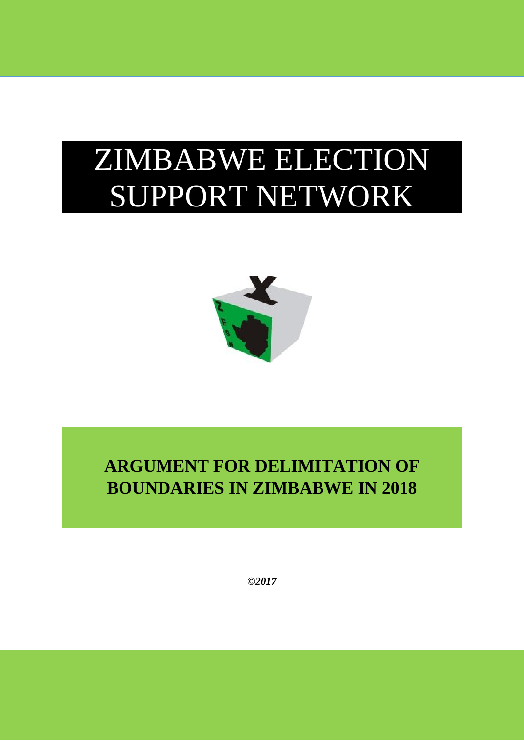# ZIMBABWE ELECTION SUPPORT NETWORK



# **ARGUMENT FOR DELIMITATION OF BOUNDARIES IN ZIMBABWE IN 2018**

*©2017*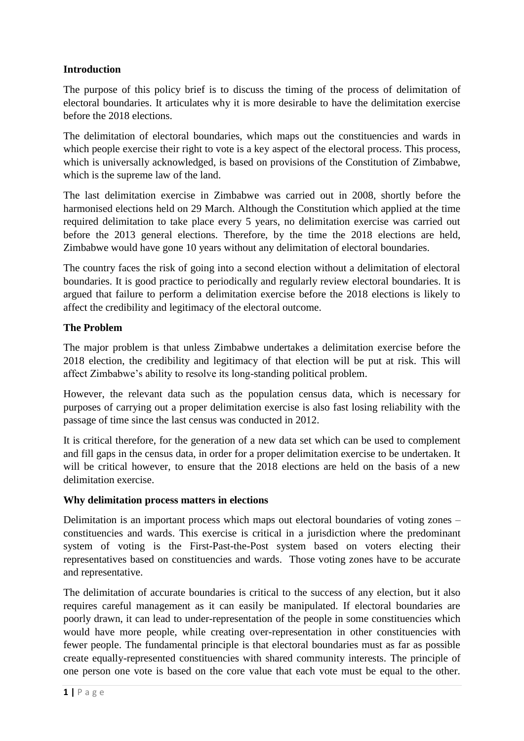# **Introduction**

The purpose of this policy brief is to discuss the timing of the process of delimitation of electoral boundaries. It articulates why it is more desirable to have the delimitation exercise before the 2018 elections.

The delimitation of electoral boundaries, which maps out the constituencies and wards in which people exercise their right to vote is a key aspect of the electoral process. This process, which is universally acknowledged, is based on provisions of the Constitution of Zimbabwe, which is the supreme law of the land.

The last delimitation exercise in Zimbabwe was carried out in 2008, shortly before the harmonised elections held on 29 March. Although the Constitution which applied at the time required delimitation to take place every 5 years, no delimitation exercise was carried out before the 2013 general elections. Therefore, by the time the 2018 elections are held, Zimbabwe would have gone 10 years without any delimitation of electoral boundaries.

The country faces the risk of going into a second election without a delimitation of electoral boundaries. It is good practice to periodically and regularly review electoral boundaries. It is argued that failure to perform a delimitation exercise before the 2018 elections is likely to affect the credibility and legitimacy of the electoral outcome.

#### **The Problem**

The major problem is that unless Zimbabwe undertakes a delimitation exercise before the 2018 election, the credibility and legitimacy of that election will be put at risk. This will affect Zimbabwe's ability to resolve its long-standing political problem.

However, the relevant data such as the population census data, which is necessary for purposes of carrying out a proper delimitation exercise is also fast losing reliability with the passage of time since the last census was conducted in 2012.

It is critical therefore, for the generation of a new data set which can be used to complement and fill gaps in the census data, in order for a proper delimitation exercise to be undertaken. It will be critical however, to ensure that the 2018 elections are held on the basis of a new delimitation exercise.

#### **Why delimitation process matters in elections**

Delimitation is an important process which maps out electoral boundaries of voting zones – constituencies and wards. This exercise is critical in a jurisdiction where the predominant system of voting is the First-Past-the-Post system based on voters electing their representatives based on constituencies and wards. Those voting zones have to be accurate and representative.

The delimitation of accurate boundaries is critical to the success of any election, but it also requires careful management as it can easily be manipulated. If electoral boundaries are poorly drawn, it can lead to under-representation of the people in some constituencies which would have more people, while creating over-representation in other constituencies with fewer people. The fundamental principle is that electoral boundaries must as far as possible create equally-represented constituencies with shared community interests. The principle of one person one vote is based on the core value that each vote must be equal to the other.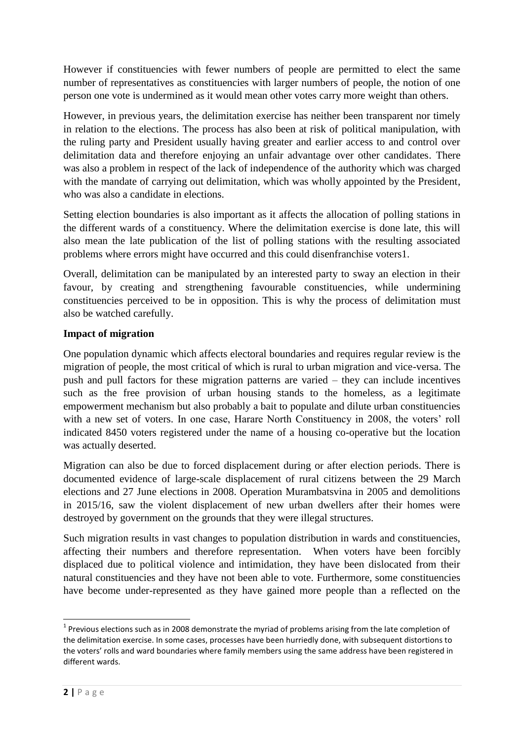However if constituencies with fewer numbers of people are permitted to elect the same number of representatives as constituencies with larger numbers of people, the notion of one person one vote is undermined as it would mean other votes carry more weight than others.

However, in previous years, the delimitation exercise has neither been transparent nor timely in relation to the elections. The process has also been at risk of political manipulation, with the ruling party and President usually having greater and earlier access to and control over delimitation data and therefore enjoying an unfair advantage over other candidates. There was also a problem in respect of the lack of independence of the authority which was charged with the mandate of carrying out delimitation, which was wholly appointed by the President, who was also a candidate in elections.

Setting election boundaries is also important as it affects the allocation of polling stations in the different wards of a constituency. Where the delimitation exercise is done late, this will also mean the late publication of the list of polling stations with the resulting associated problems where errors might have occurred and this could disenfranchise voters1.

Overall, delimitation can be manipulated by an interested party to sway an election in their favour, by creating and strengthening favourable constituencies, while undermining constituencies perceived to be in opposition. This is why the process of delimitation must also be watched carefully.

# **Impact of migration**

One population dynamic which affects electoral boundaries and requires regular review is the migration of people, the most critical of which is rural to urban migration and vice-versa. The push and pull factors for these migration patterns are varied – they can include incentives such as the free provision of urban housing stands to the homeless, as a legitimate empowerment mechanism but also probably a bait to populate and dilute urban constituencies with a new set of voters. In one case, Harare North Constituency in 2008, the voters' roll indicated 8450 voters registered under the name of a housing co-operative but the location was actually deserted.

Migration can also be due to forced displacement during or after election periods. There is documented evidence of large-scale displacement of rural citizens between the 29 March elections and 27 June elections in 2008. Operation Murambatsvina in 2005 and demolitions in 2015/16, saw the violent displacement of new urban dwellers after their homes were destroyed by government on the grounds that they were illegal structures.

Such migration results in vast changes to population distribution in wards and constituencies, affecting their numbers and therefore representation. When voters have been forcibly displaced due to political violence and intimidation, they have been dislocated from their natural constituencies and they have not been able to vote. Furthermore, some constituencies have become under-represented as they have gained more people than a reflected on the

 $\overline{a}$ 

 $1$  Previous elections such as in 2008 demonstrate the myriad of problems arising from the late completion of the delimitation exercise. In some cases, processes have been hurriedly done, with subsequent distortions to the voters' rolls and ward boundaries where family members using the same address have been registered in different wards.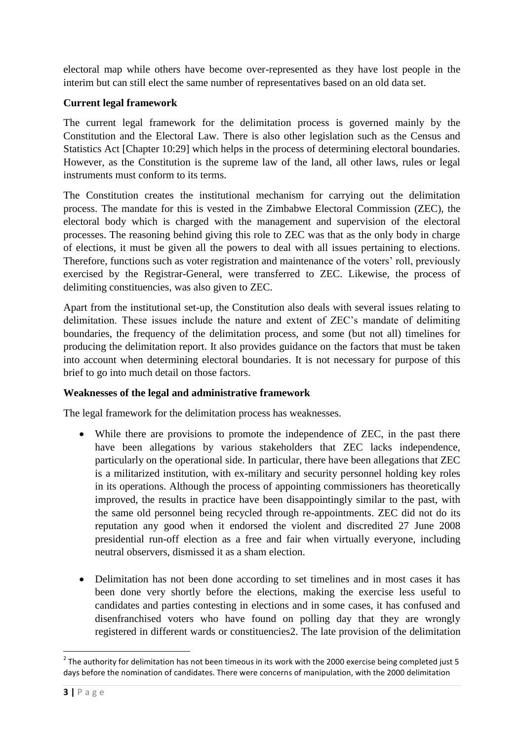electoral map while others have become over-represented as they have lost people in the interim but can still elect the same number of representatives based on an old data set.

# **Current legal framework**

The current legal framework for the delimitation process is governed mainly by the Constitution and the Electoral Law. There is also other legislation such as the Census and Statistics Act [Chapter 10:29] which helps in the process of determining electoral boundaries. However, as the Constitution is the supreme law of the land, all other laws, rules or legal instruments must conform to its terms.

The Constitution creates the institutional mechanism for carrying out the delimitation process. The mandate for this is vested in the Zimbabwe Electoral Commission (ZEC), the electoral body which is charged with the management and supervision of the electoral processes. The reasoning behind giving this role to ZEC was that as the only body in charge of elections, it must be given all the powers to deal with all issues pertaining to elections. Therefore, functions such as voter registration and maintenance of the voters' roll, previously exercised by the Registrar-General, were transferred to ZEC. Likewise, the process of delimiting constituencies, was also given to ZEC.

Apart from the institutional set-up, the Constitution also deals with several issues relating to delimitation. These issues include the nature and extent of ZEC's mandate of delimiting boundaries, the frequency of the delimitation process, and some (but not all) timelines for producing the delimitation report. It also provides guidance on the factors that must be taken into account when determining electoral boundaries. It is not necessary for purpose of this brief to go into much detail on those factors.

#### **Weaknesses of the legal and administrative framework**

The legal framework for the delimitation process has weaknesses.

- While there are provisions to promote the independence of ZEC, in the past there have been allegations by various stakeholders that ZEC lacks independence, particularly on the operational side. In particular, there have been allegations that ZEC is a militarized institution, with ex-military and security personnel holding key roles in its operations. Although the process of appointing commissioners has theoretically improved, the results in practice have been disappointingly similar to the past, with the same old personnel being recycled through re-appointments. ZEC did not do its reputation any good when it endorsed the violent and discredited 27 June 2008 presidential run-off election as a free and fair when virtually everyone, including neutral observers, dismissed it as a sham election.
- Delimitation has not been done according to set timelines and in most cases it has been done very shortly before the elections, making the exercise less useful to candidates and parties contesting in elections and in some cases, it has confused and disenfranchised voters who have found on polling day that they are wrongly registered in different wards or constituencies2. The late provision of the delimitation

 2 The authority for delimitation has not been timeous in its work with the 2000 exercise being completed just 5 days before the nomination of candidates. There were concerns of manipulation, with the 2000 delimitation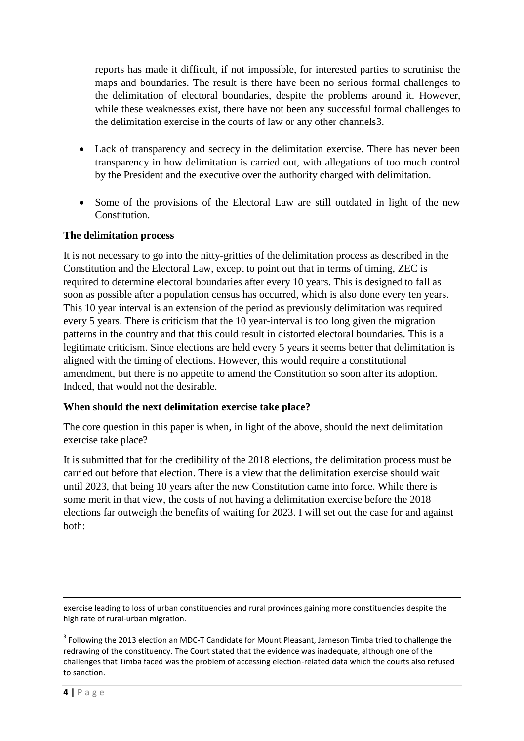reports has made it difficult, if not impossible, for interested parties to scrutinise the maps and boundaries. The result is there have been no serious formal challenges to the delimitation of electoral boundaries, despite the problems around it. However, while these weaknesses exist, there have not been any successful formal challenges to the delimitation exercise in the courts of law or any other channels3.

- Lack of transparency and secrecy in the delimitation exercise. There has never been transparency in how delimitation is carried out, with allegations of too much control by the President and the executive over the authority charged with delimitation.
- Some of the provisions of the Electoral Law are still outdated in light of the new Constitution.

#### **The delimitation process**

It is not necessary to go into the nitty-gritties of the delimitation process as described in the Constitution and the Electoral Law, except to point out that in terms of timing, ZEC is required to determine electoral boundaries after every 10 years. This is designed to fall as soon as possible after a population census has occurred, which is also done every ten years. This 10 year interval is an extension of the period as previously delimitation was required every 5 years. There is criticism that the 10 year-interval is too long given the migration patterns in the country and that this could result in distorted electoral boundaries. This is a legitimate criticism. Since elections are held every 5 years it seems better that delimitation is aligned with the timing of elections. However, this would require a constitutional amendment, but there is no appetite to amend the Constitution so soon after its adoption. Indeed, that would not the desirable.

#### **When should the next delimitation exercise take place?**

The core question in this paper is when, in light of the above, should the next delimitation exercise take place?

It is submitted that for the credibility of the 2018 elections, the delimitation process must be carried out before that election. There is a view that the delimitation exercise should wait until 2023, that being 10 years after the new Constitution came into force. While there is some merit in that view, the costs of not having a delimitation exercise before the 2018 elections far outweigh the benefits of waiting for 2023. I will set out the case for and against both:

exercise leading to loss of urban constituencies and rural provinces gaining more constituencies despite the high rate of rural-urban migration.

<sup>3</sup> Following the 2013 election an MDC-T Candidate for Mount Pleasant, Jameson Timba tried to challenge the redrawing of the constituency. The Court stated that the evidence was inadequate, although one of the challenges that Timba faced was the problem of accessing election-related data which the courts also refused to sanction.

 $\overline{a}$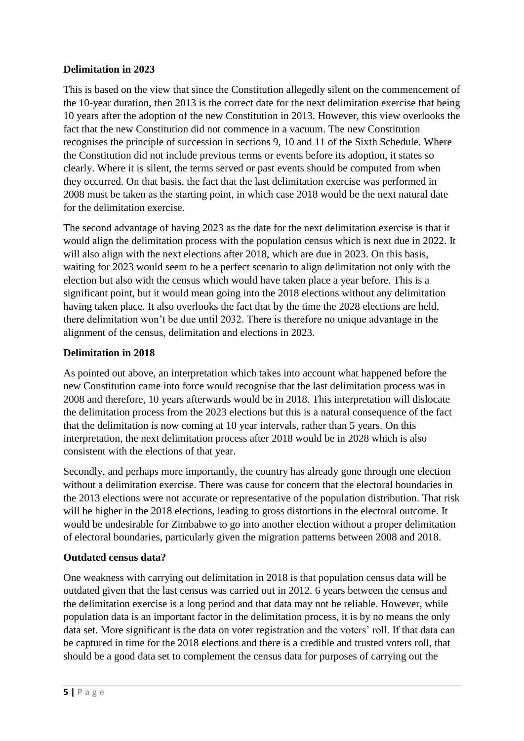# **Delimitation in 2023**

This is based on the view that since the Constitution allegedly silent on the commencement of the 10-year duration, then 2013 is the correct date for the next delimitation exercise that being 10 years after the adoption of the new Constitution in 2013. However, this view overlooks the fact that the new Constitution did not commence in a vacuum. The new Constitution recognises the principle of succession in sections 9, 10 and 11 of the Sixth Schedule. Where the Constitution did not include previous terms or events before its adoption, it states so clearly. Where it is silent, the terms served or past events should be computed from when they occurred. On that basis, the fact that the last delimitation exercise was performed in 2008 must be taken as the starting point, in which case 2018 would be the next natural date for the delimitation exercise.

The second advantage of having 2023 as the date for the next delimitation exercise is that it would align the delimitation process with the population census which is next due in 2022. It will also align with the next elections after 2018, which are due in 2023. On this basis, waiting for 2023 would seem to be a perfect scenario to align delimitation not only with the election but also with the census which would have taken place a year before. This is a significant point, but it would mean going into the 2018 elections without any delimitation having taken place. It also overlooks the fact that by the time the 2028 elections are held, there delimitation won't be due until 2032. There is therefore no unique advantage in the alignment of the census, delimitation and elections in 2023.

# **Delimitation in 2018**

As pointed out above, an interpretation which takes into account what happened before the new Constitution came into force would recognise that the last delimitation process was in 2008 and therefore, 10 years afterwards would be in 2018. This interpretation will dislocate the delimitation process from the 2023 elections but this is a natural consequence of the fact that the delimitation is now coming at 10 year intervals, rather than 5 years. On this interpretation, the next delimitation process after 2018 would be in 2028 which is also consistent with the elections of that year.

Secondly, and perhaps more importantly, the country has already gone through one election without a delimitation exercise. There was cause for concern that the electoral boundaries in the 2013 elections were not accurate or representative of the population distribution. That risk will be higher in the 2018 elections, leading to gross distortions in the electoral outcome. It would be undesirable for Zimbabwe to go into another election without a proper delimitation of electoral boundaries, particularly given the migration patterns between 2008 and 2018.

# **Outdated census data?**

One weakness with carrying out delimitation in 2018 is that population census data will be outdated given that the last census was carried out in 2012. 6 years between the census and the delimitation exercise is a long period and that data may not be reliable. However, while population data is an important factor in the delimitation process, it is by no means the only data set. More significant is the data on voter registration and the voters' roll. If that data can be captured in time for the 2018 elections and there is a credible and trusted voters roll, that should be a good data set to complement the census data for purposes of carrying out the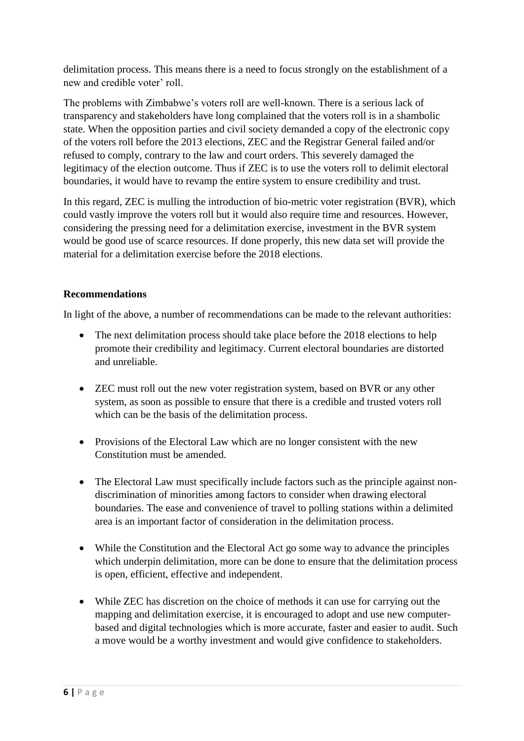delimitation process. This means there is a need to focus strongly on the establishment of a new and credible voter' roll.

The problems with Zimbabwe's voters roll are well-known. There is a serious lack of transparency and stakeholders have long complained that the voters roll is in a shambolic state. When the opposition parties and civil society demanded a copy of the electronic copy of the voters roll before the 2013 elections, ZEC and the Registrar General failed and/or refused to comply, contrary to the law and court orders. This severely damaged the legitimacy of the election outcome. Thus if ZEC is to use the voters roll to delimit electoral boundaries, it would have to revamp the entire system to ensure credibility and trust.

In this regard, ZEC is mulling the introduction of bio-metric voter registration (BVR), which could vastly improve the voters roll but it would also require time and resources. However, considering the pressing need for a delimitation exercise, investment in the BVR system would be good use of scarce resources. If done properly, this new data set will provide the material for a delimitation exercise before the 2018 elections.

# **Recommendations**

In light of the above, a number of recommendations can be made to the relevant authorities:

- The next delimitation process should take place before the 2018 elections to help promote their credibility and legitimacy. Current electoral boundaries are distorted and unreliable.
- ZEC must roll out the new voter registration system, based on BVR or any other system, as soon as possible to ensure that there is a credible and trusted voters roll which can be the basis of the delimitation process.
- Provisions of the Electoral Law which are no longer consistent with the new Constitution must be amended.
- The Electoral Law must specifically include factors such as the principle against nondiscrimination of minorities among factors to consider when drawing electoral boundaries. The ease and convenience of travel to polling stations within a delimited area is an important factor of consideration in the delimitation process.
- While the Constitution and the Electoral Act go some way to advance the principles which underpin delimitation, more can be done to ensure that the delimitation process is open, efficient, effective and independent.
- While ZEC has discretion on the choice of methods it can use for carrying out the mapping and delimitation exercise, it is encouraged to adopt and use new computerbased and digital technologies which is more accurate, faster and easier to audit. Such a move would be a worthy investment and would give confidence to stakeholders.